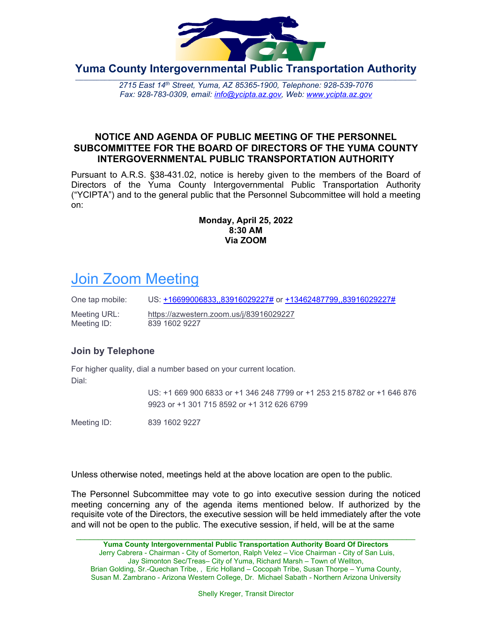

**Yuma County Intergovernmental Public Transportation Authority**

**\_\_\_\_\_\_\_\_\_\_\_\_\_\_\_\_\_\_\_\_\_\_\_\_\_\_\_\_\_\_\_\_\_\_\_\_\_\_\_\_\_\_\_\_\_\_\_\_\_\_\_\_\_\_\_\_\_\_\_\_\_\_\_\_\_\_\_\_\_\_\_\_\_\_\_\_\_\_\_\_\_\_\_\_\_\_\_\_\_\_\_\_\_\_\_\_\_\_\_\_\_\_\_\_\_\_\_\_\_\_\_\_\_\_\_\_\_\_\_\_\_\_\_\_\_\_\_\_\_** *2715 East 14th Street, Yuma, AZ 85365-1900, Telephone: 928-539-7076 Fax: 928-783-0309, email: [info@ycipta.az.gov,](mailto:info@ycipta.az.gov) Web: [www.ycipta.az.gov](http://www.ycipta.az.gov/)*

### **NOTICE AND AGENDA OF PUBLIC MEETING OF THE PERSONNEL SUBCOMMITTEE FOR THE BOARD OF DIRECTORS OF THE YUMA COUNTY INTERGOVERNMENTAL PUBLIC TRANSPORTATION AUTHORITY**

Pursuant to A.R.S. §38-431.02, notice is hereby given to the members of the Board of Directors of the Yuma County Intergovernmental Public Transportation Authority ("YCIPTA") and to the general public that the Personnel Subcommittee will hold a meeting on:

#### **Monday, April 25, 2022 8:30 AM Via ZOOM**

# **[Join Zoom Meeting](https://azwestern.zoom.us/j/83916029227)**

One tap mobile: US: [+16699006833,,83916029227#](tel:+16699006833,,83916029227) or [+13462487799,,83916029227#](tel:+13462487799,,83916029227)

Meeting URL: <https://azwestern.zoom.us/j/83916029227> Meeting ID: 839 1602 9227

# **Join by Telephone**

For higher quality, dial a number based on your current location. Dial:

> US: +1 669 900 6833 or +1 346 248 7799 or +1 253 215 8782 or +1 646 876 9923 or +1 301 715 8592 or +1 312 626 6799

Meeting ID: 839 1602 9227

Unless otherwise noted, meetings held at the above location are open to the public.

The Personnel Subcommittee may vote to go into executive session during the noticed meeting concerning any of the agenda items mentioned below. If authorized by the requisite vote of the Directors, the executive session will be held immediately after the vote and will not be open to the public. The executive session, if held, will be at the same